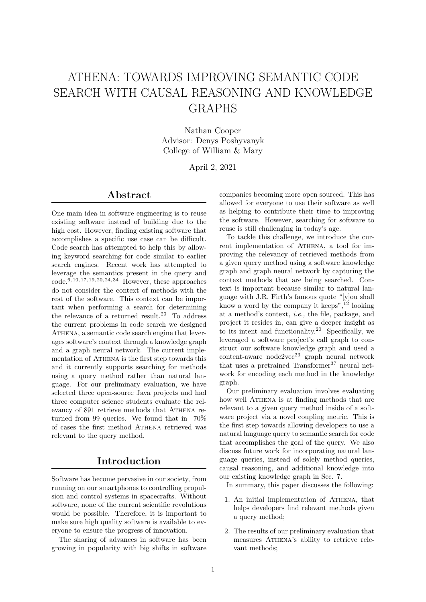# ATHENA: TOWARDS IMPROVING SEMANTIC CODE SEARCH WITH CAUSAL REASONING AND KNOWLEDGE GRAPHS

Nathan Cooper Advisor: Denys Poshyvanyk College of William & Mary

April 2, 2021

### Abstract

One main idea in software engineering is to reuse existing software instead of building due to the high cost. However, finding existing software that accomplishes a specific use case can be difficult. Code search has attempted to help this by allowing keyword searching for code similar to earlier search engines. Recent work has attempted to leverage the semantics present in the query and  $code.6, 10, 17, 19, 20, 24, 34$  However, these approaches do not consider the context of methods with the rest of the software. This context can be important when performing a search for determining the relevance of a returned result.<sup>20</sup> To address the current problems in code search we designed ATHENA, a semantic code search engine that leverages software's context through a knowledge graph and a graph neural network. The current implementation of ATHENA is the first step towards this and it currently supports searching for methods using a query method rather than natural language. For our preliminary evaluation, we have selected three open-source Java projects and had three computer science students evaluate the relevancy of 891 retrieve methods that ATHENA returned from 99 queries. We found that in 70% of cases the first method Athena retrieved was relevant to the query method.

### Introduction

Software has become pervasive in our society, from running on our smartphones to controlling propulsion and control systems in spacecrafts. Without software, none of the current scientific revolutions would be possible. Therefore, it is important to make sure high quality software is available to everyone to ensure the progress of innovation.

The sharing of advances in software has been growing in popularity with big shifts in software companies becoming more open sourced. This has allowed for everyone to use their software as well as helping to contribute their time to improving the software. However, searching for software to reuse is still challenging in today's age.

To tackle this challenge, we introduce the current implementation of ATHENA, a tool for improving the relevancy of retrieved methods from a given query method using a software knowledge graph and graph neural network by capturing the context methods that are being searched. Context is important because similar to natural language with J.R. Firth's famous quote "[y]ou shall know a word by the company it keeps",  $12$  looking at a method's context, i.e., the file, package, and project it resides in, can give a deeper insight as to its intent and functionality.<sup>20</sup> Specifically, we leveraged a software project's call graph to construct our software knowledge graph and used a  $\overline{\text{content}}$ -aware node2vec<sup>23</sup> graph neural network that uses a pretrained  $\text{Transformer}^{37}$  neural network for encoding each method in the knowledge graph.

Our preliminary evaluation involves evaluating how well ATHENA is at finding methods that are relevant to a given query method inside of a software project via a novel coupling metric. This is the first step towards allowing developers to use a natural language query to semantic search for code that accomplishes the goal of the query. We also discuss future work for incorporating natural language queries, instead of solely method queries, causal reasoning, and additional knowledge into our existing knowledge graph in Sec. 7.

In summary, this paper discusses the following:

- 1. An initial implementation of Athena, that helps developers find relevant methods given a query method;
- 2. The results of our preliminary evaluation that measures ATHENA's ability to retrieve relevant methods;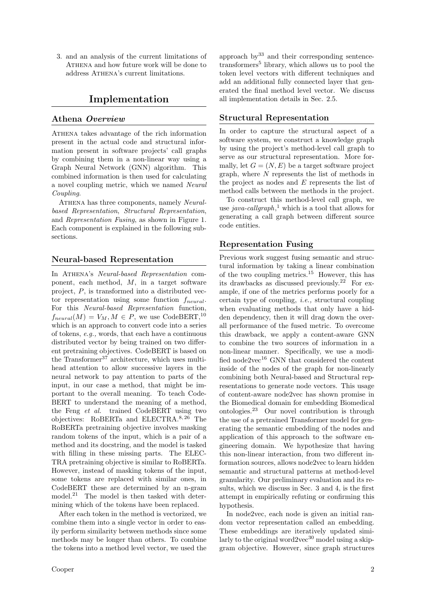3. and an analysis of the current limitations of ATHENA and how future work will be done to address ATHENA's current limitations.

### Implementation

#### Athena Overview

Athena takes advantage of the rich information present in the actual code and structural information present in software projects' call graphs by combining them in a non-linear way using a Graph Neural Network (GNN) algorithm. This combined information is then used for calculating a novel coupling metric, which we named Neural Coupling.

ATHENA has three components, namely Neuralbased Representation, Structural Representation, and Representation Fusing, as shown in Figure 1. Each component is explained in the following subsections.

#### Neural-based Representation

In ATHENA's Neural-based Representation component, each method, M, in a target software project, P, is transformed into a distributed vector representation using some function  $f_{neural}$ . For this Neural-based Representation function,  $f_{neural}(M) = V_M, M \in P$ , we use CodeBERT,<sup>10</sup> which is an approach to convert code into a series of tokens, e.g., words, that each have a continuous distributed vector by being trained on two different pretraining objectives. CodeBERT is based on the Transformer<sup>37</sup> architecture, which uses multihead attention to allow successive layers in the neural network to pay attention to parts of the input, in our case a method, that might be important to the overall meaning. To teach Code-BERT to understand the meaning of a method, the Feng et al. trained CodeBERT using two objectives: RoBERTa and ELECTRA.<sup>8,26</sup> The RoBERTa pretraining objective involves masking random tokens of the input, which is a pair of a method and its docstring, and the model is tasked with filling in these missing parts. The ELEC-TRA pretraining objective is similar to RoBERTa. However, instead of masking tokens of the input, some tokens are replaced with similar ones, in CodeBERT these are determined by an n-gram model.<sup>21</sup> The model is then tasked with determining which of the tokens have been replaced.

After each token in the method is vectorized, we combine them into a single vector in order to easily perform similarity between methods since some methods may be longer than others. To combine the tokens into a method level vector, we used the

approach  $by^{33}$  and their corresponding sentencetransformers<sup>5</sup> library, which allows us to pool the token level vectors with different techniques and add an additional fully connected layer that generated the final method level vector. We discuss all implementation details in Sec. 2.5.

#### Structural Representation

In order to capture the structural aspect of a software system, we construct a knowledge graph by using the project's method-level call graph to serve as our structural representation. More formally, let  $G = (N, E)$  be a target software project graph, where  $N$  represents the list of methods in the project as nodes and  $E$  represents the list of method calls between the methods in the project.

To construct this method-level call graph, we use java-callgraph,<sup>1</sup> which is a tool that allows for generating a call graph between different source code entities.

#### Representation Fusing

Previous work suggest fusing semantic and structural information by taking a linear combination of the two coupling metrics.<sup>15</sup> However, this has its drawbacks as discussed previously.<sup>22</sup> For example, if one of the metrics performs poorly for a certain type of coupling, i.e., structural coupling when evaluating methods that only have a hidden dependency, then it will drag down the overall performance of the fused metric. To overcome this drawback, we apply a content-aware GNN to combine the two sources of information in a non-linear manner. Specifically, we use a modified node2vec $^{16}$  GNN that considered the content inside of the nodes of the graph for non-linearly combining both Neural-based and Structural representations to generate node vectors. This usage of content-aware node2vec has shown promise in the Biomedical domain for embedding Biomedical ontologies.<sup>23</sup> Our novel contribution is through the use of a pretrained Transformer model for generating the semantic embedding of the nodes and application of this approach to the software engineering domain. We hypothesize that having this non-linear interaction, from two different information sources, allows node2vec to learn hidden semantic and structural patterns at method-level granularity. Our preliminary evaluation and its results, which we discuss in Sec. 3 and 4, is the first attempt in empirically refuting or confirming this hypothesis.

In node2vec, each node is given an initial random vector representation called an embedding. These embeddings are iteratively updated similarly to the original word2vec<sup>30</sup> model using a skipgram objective. However, since graph structures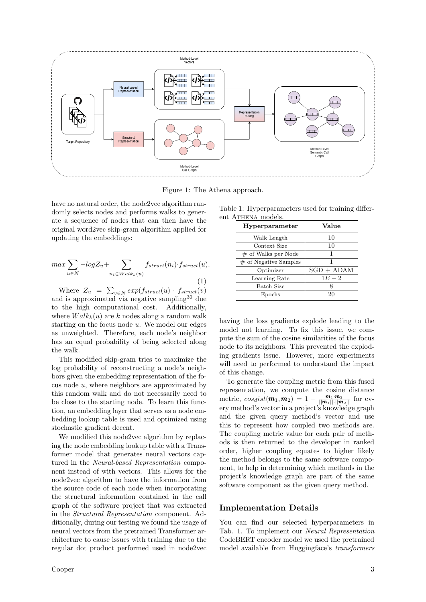

Figure 1: The Athena approach.

have no natural order, the node2vec algorithm randomly selects nodes and performs walks to generate a sequence of nodes that can then have the original word2vec skip-gram algorithm applied for updating the embeddings:

$$
\max \sum_{u \in N} -\log Z_u + \sum_{n_i \in Walk_k(u)} f_{struct}(n_i) \cdot f_{struct}(u). \tag{1}
$$

Where  $Z_u = \sum_{v \in N} exp(f_{struct}(u) \cdot f_{struct}(v))$ and is approximated via negative sampling<sup>30</sup> due to the high computational cost. Additionally, where  $Walk_k(u)$  are k nodes along a random walk starting on the focus node  $u$ . We model our edges as unweighted. Therefore, each node's neighbor has an equal probability of being selected along the walk.

This modified skip-gram tries to maximize the log probability of reconstructing a node's neighbors given the embedding representation of the focus node u, where neighbors are approximated by this random walk and do not necessarily need to be close to the starting node. To learn this function, an embedding layer that serves as a node embedding lookup table is used and optimized using stochastic gradient decent.

We modified this node2vec algorithm by replacing the node embedding lookup table with a Transformer model that generates neural vectors captured in the Neural-based Representation component instead of with vectors. This allows for the node2vec algorithm to have the information from the source code of each node when incorporating the structural information contained in the call graph of the software project that was extracted in the Structural Representation component. Additionally, during our testing we found the usage of neural vectors from the pretrained Transformer architecture to cause issues with training due to the regular dot product performed used in node2vec

Table 1: Hyperparameters used for training different ATHENA models.

| Hyperparameter          | Value        |
|-------------------------|--------------|
| Walk Length             | 10           |
| Context Size            | 10           |
| $\#$ of Walks per Node  |              |
| $#$ of Negative Samples | 1            |
| Optimizer               | $SGD + ADAM$ |
| Learning Rate           | $1E-2$       |
| Batch Size              | Χ            |
| Epochs                  | 20           |

having the loss gradients explode leading to the model not learning. To fix this issue, we compute the sum of the cosine similarities of the focus node to its neighbors. This prevented the exploding gradients issue. However, more experiments will need to performed to understand the impact of this change.

To generate the coupling metric from this fused representation, we compute the cosine distance metric,  $cos_dist(\mathbf{m}_1, \mathbf{m}_2) = 1 - \frac{\mathbf{m}_1 \cdot \mathbf{m}_2}{||\mathbf{m}_1|| \cdot ||\mathbf{m}_2||}$  for every method's vector in a project's knowledge graph and the given query method's vector and use this to represent how coupled two methods are. The coupling metric value for each pair of methods is then returned to the developer in ranked order, higher coupling equates to higher likely the method belongs to the same software component, to help in determining which methods in the project's knowledge graph are part of the same software component as the given query method.

#### Implementation Details

You can find our selected hyperparameters in Tab. 1. To implement our Neural Representation CodeBERT encoder model we used the pretrained model available from Huggingface's transformers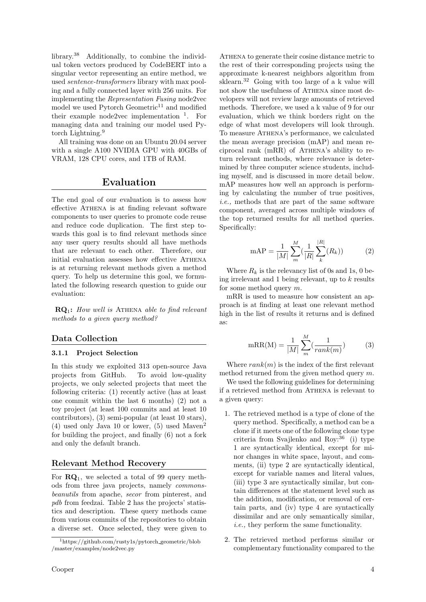library.<sup>38</sup> Additionally, to combine the individual token vectors produced by CodeBERT into a singular vector representing an entire method, we used sentence-transformers library with max pooling and a fully connected layer with 256 units. For implementing the Representation Fusing node2vec model we used Pytorch Geometric<sup>11</sup> and modified their example node2vec implementation  $\frac{1}{1}$ . For managing data and training our model used Pytorch Lightning.<sup>9</sup>

All training was done on an Ubuntu 20.04 server with a single A100 NVIDIA GPU with 40GBs of VRAM, 128 CPU cores, and 1TB of RAM.

# Evaluation

The end goal of our evaluation is to assess how effective ATHENA is at finding relevant software components to user queries to promote code reuse and reduce code duplication. The first step towards this goal is to find relevant methods since any user query results should all have methods that are relevant to each other. Therefore, our initial evaluation assesses how effective ATHENA is at returning relevant methods given a method query. To help us determine this goal, we formulated the following research question to guide our evaluation:

 $\mathbf{RO}_1$ : How well is ATHENA able to find relevant methods to a given query method?

#### Data Collection

#### 3.1.1 Project Selection

In this study we exploited 313 open-source Java projects from GitHub. To avoid low-quality projects, we only selected projects that meet the following criteria: (1) recently active (has at least one commit within the last 6 months) (2) not a toy project (at least 100 commits and at least 10 contributors), (3) semi-popular (at least 10 stars),  $(4)$  used only Java 10 or lower,  $(5)$  used Maven<sup>2</sup> for building the project, and finally (6) not a fork and only the default branch.

#### Relevant Method Recovery

For  $\mathbf{RQ}_1$ , we selected a total of 99 query methods from three java projects, namely commonsbeanutils from apache, secor from pinterest, and pdb from feedzai. Table 2 has the projects' statistics and description. These query methods came from various commits of the repositories to obtain a diverse set. Once selected, they were given to

ATHENA to generate their cosine distance metric to the rest of their corresponding projects using the approximate k-nearest neighbors algorithm from sklearn.<sup>32</sup> Going with too large of a k value will not show the usefulness of ATHENA since most developers will not review large amounts of retrieved methods. Therefore, we used a k value of 9 for our evaluation, which we think borders right on the edge of what most developers will look through. To measure Athena's performance, we calculated the mean average precision (mAP) and mean reciprocal rank (mRR) of Athena's ability to return relevant methods, where relevance is determined by three computer science students, including myself, and is discussed in more detail below. mAP measures how well an approach is performing by calculating the number of true positives, i.e., methods that are part of the same software component, averaged across multiple windows of the top returned results for all method queries. Specifically:

$$
mAP = \frac{1}{|M|} \sum_{m}^{M} \left(\frac{1}{|R|} \sum_{k}^{|R|} (R_k)\right) \tag{2}
$$

Where  $R_k$  is the relevancy list of 0s and 1s, 0 being irrelevant and 1 being relevant, up to  $k$  results for some method query m.

mRR is used to measure how consistent an approach is at finding at least one relevant method high in the list of results it returns and is defined as:

$$
mRR(M) = \frac{1}{|M|} \sum_{m}^{M} \left(\frac{1}{rank(m)}\right)
$$
 (3)

Where  $rank(m)$  is the index of the first relevant method returned from the given method query m.

We used the following guidelines for determining if a retrieved method from Athena is relevant to a given query:

- 1. The retrieved method is a type of clone of the query method. Specifically, a method can be a clone if it meets one of the following clone type criteria from Svajlenko and Roy: $36$  (i) type 1 are syntactically identical, except for minor changes in white space, layout, and comments, (ii) type 2 are syntactically identical, except for variable names and literal values, (iii) type 3 are syntactically similar, but contain differences at the statement level such as the addition, modification, or removal of certain parts, and (iv) type 4 are syntactically dissimilar and are only semantically similar, i.e., they perform the same functionality.
- 2. The retrieved method performs similar or complementary functionality compared to the

<sup>1</sup>https://github.com/rusty1s/pytorch geometric/blob /master/examples/node2vec.py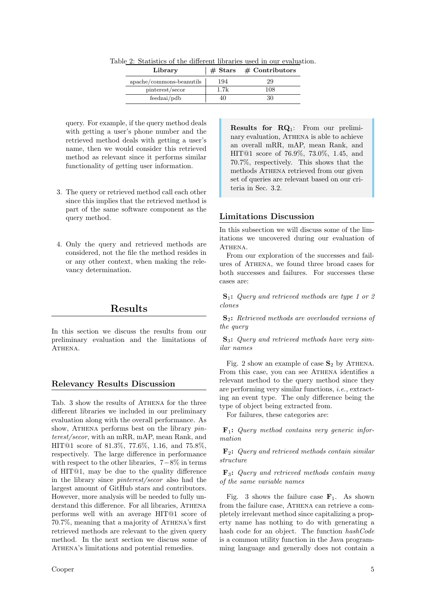| Library                  |      | $\#$ Stars $\#$ Contributors |  |
|--------------------------|------|------------------------------|--|
| apache/commons-beanutils | 194  | 29                           |  |
| pinterest/secor          | 1.7k | 108                          |  |
| feedzai/pdb              | 40   | 30                           |  |

Table 2: Statistics of the different libraries used in our evaluation.

query. For example, if the query method deals with getting a user's phone number and the retrieved method deals with getting a user's name, then we would consider this retrieved method as relevant since it performs similar functionality of getting user information.

- 3. The query or retrieved method call each other since this implies that the retrieved method is part of the same software component as the query method.
- 4. Only the query and retrieved methods are considered, not the file the method resides in or any other context, when making the relevancy determination.

# Results

In this section we discuss the results from our preliminary evaluation and the limitations of ATHENA.

#### Relevancy Results Discussion

Tab. 3 show the results of ATHENA for the three different libraries we included in our preliminary evaluation along with the overall performance. As show, ATHENA performs best on the library *pin*terest/secor, with an mRR, mAP, mean Rank, and HIT@1 score of 81.3%, 77.6%, 1.16, and 75.8%, respectively. The large difference in performance with respect to the other libraries,  $7-8\%$  in terms of HIT@1, may be due to the quality difference in the library since pinterest/secor also had the largest amount of GitHub stars and contributors. However, more analysis will be needed to fully understand this difference. For all libraries, ATHENA performs well with an average HIT@1 score of 70.7%, meaning that a majority of Athena's first retrieved methods are relevant to the given query method. In the next section we discuss some of ATHENA's limitations and potential remedies.

Results for RQ1: From our preliminary evaluation, ATHENA is able to achieve an overall mRR, mAP, mean Rank, and HIT@1 score of 76.9%, 73.0%, 1.45, and 70.7%, respectively. This shows that the methods ATHENA retrieved from our given set of queries are relevant based on our criteria in Sec. 3.2.

#### Limitations Discussion

In this subsection we will discuss some of the limitations we uncovered during our evaluation of ATHENA.

From our exploration of the successes and failures of Athena, we found three broad cases for both successes and failures. For successes these cases are:

S1: Query and retrieved methods are type 1 or 2 clones

S2: Retrieved methods are overloaded versions of the *guery* 

 $S_3$ : Query and retrieved methods have very similar names

Fig. 2 show an example of case  $S_2$  by ATHENA. From this case, you can see ATHENA identifies a relevant method to the query method since they are performing very similar functions, i.e., extracting an event type. The only difference being the type of object being extracted from.

For failures, these categories are:

 $\mathbf{F}_1$ : Query method contains very generic information

 $\mathbf{F}_2$ : Query and retrieved methods contain similar structure

 $\mathbf{F}_3$ : Query and retrieved methods contain many of the same variable names

Fig. 3 shows the failure case  $\mathbf{F}_1$ . As shown from the failure case, ATHENA can retrieve a completely irrelevant method since capitalizing a property name has nothing to do with generating a hash code for an object. The function hashCode is a common utility function in the Java programming language and generally does not contain a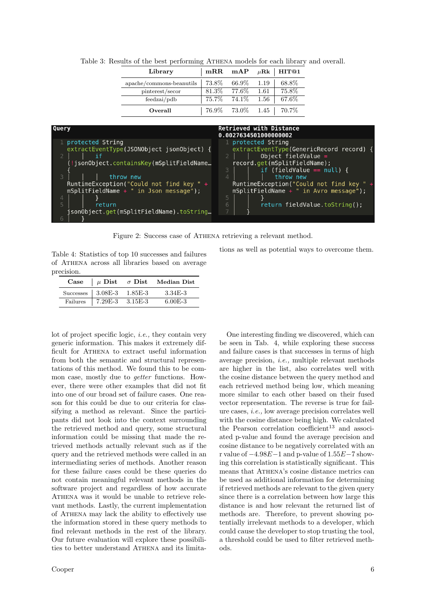| Library                  | $\vert$ mRR mAP $\mu$ Rk   HIT@1 |                 |        |          |
|--------------------------|----------------------------------|-----------------|--------|----------|
| apache/commons-beanutils | 73.8%                            | 66.9\% 1.19     |        | 68.8%    |
| pinterest/secor          |                                  | $81.3\%$ 77.6\% | - 1.61 | 75.8%    |
| feedbackai/pdb           | 75.7% 74.1% 1.56                 |                 |        | $67.6\%$ |
| Overall                  |                                  |                 |        |          |

Table 3: Results of the best performing Athena models for each library and overall.



Figure 2: Success case of Athena retrieving a relevant method.

Table 4: Statistics of top 10 successes and failures of Athena across all libraries based on average precision.

tions as well as potential ways to overcome them.

| $\bf Case$ |                                   | $\mu$ Dist $\sigma$ Dist Median Dist |
|------------|-----------------------------------|--------------------------------------|
|            | Successes $\vert$ 3.08E-3 1.85E-3 | 3.34E-3                              |
| Failures   | $\vert$ 7.29E-3 3.15E-3           | $6.00E - 3$                          |

lot of project specific logic, i.e., they contain very generic information. This makes it extremely difficult for Athena to extract useful information from both the semantic and structural representations of this method. We found this to be common case, mostly due to getter functions. However, there were other examples that did not fit into one of our broad set of failure cases. One reason for this could be due to our criteria for classifying a method as relevant. Since the participants did not look into the context surrounding the retrieved method and query, some structural information could be missing that made the retrieved methods actually relevant such as if the query and the retrieved methods were called in an intermediating series of methods. Another reason for these failure cases could be these queries do not contain meaningful relevant methods in the software project and regardless of how accurate ATHENA was it would be unable to retrieve relevant methods. Lastly, the current implementation of Athena may lack the ability to effectively use the information stored in these query methods to find relevant methods in the rest of the library. Our future evaluation will explore these possibilities to better understand ATHENA and its limita-

One interesting finding we discovered, which can be seen in Tab. 4, while exploring these success and failure cases is that successes in terms of high average precision, i.e., multiple relevant methods are higher in the list, also correlates well with the cosine distance between the query method and each retrieved method being low, which meaning more similar to each other based on their fused vector representation. The reverse is true for failure cases, i.e., low average precision correlates well with the cosine distance being high. We calculated the Pearson correlation coefficient<sup>13</sup> and associated p-value and found the average precision and cosine distance to be negatively correlated with an r value of −4.98E−1 and p-value of 1.55E−7 showing this correlation is statistically significant. This means that ATHENA's cosine distance metrics can be used as additional information for determining if retrieved methods are relevant to the given query since there is a correlation between how large this distance is and how relevant the returned list of methods are. Therefore, to prevent showing potentially irrelevant methods to a developer, which could cause the developer to stop trusting the tool, a threshold could be used to filter retrieved methods.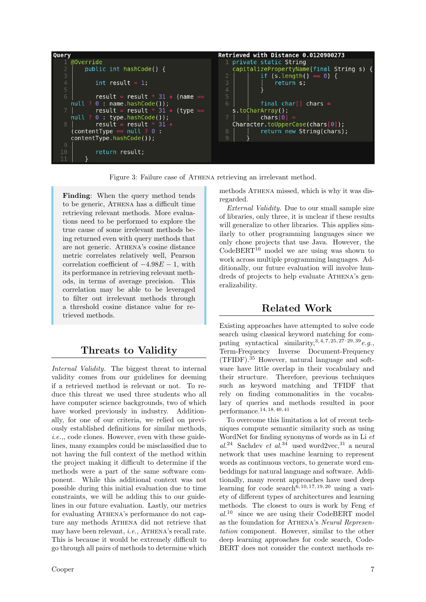

Figure 3: Failure case of ATHENA retrieving an irrelevant method.

Finding: When the query method tends to be generic, ATHENA has a difficult time retrieving relevant methods. More evaluations need to be performed to explore the true cause of some irrelevant methods being returned even with query methods that are not generic. ATHENA's cosine distance metric correlates relatively well, Pearson correlation coefficient of  $-4.98E-1$ , with its performance in retrieving relevant methods, in terms of average precision. This correlation may be able to be leveraged to filter out irrelevant methods through a threshold cosine distance value for retrieved methods.

# Threats to Validity

Internal Validity. The biggest threat to internal validity comes from our guidelines for deeming if a retrieved method is relevant or not. To reduce this threat we used three students who all have computer science backgrounds, two of which have worked previously in industry. Additionally, for one of our criteria, we relied on previously established definitions for similar methods, i.e.,, code clones. However, even with these guidelines, many examples could be misclassified due to not having the full context of the method within the project making it difficult to determine if the methods were a part of the same software component. While this additional context was not possible during this initial evaluation due to time constraints, we will be adding this to our guidelines in our future evaluation. Lastly, our metrics for evaluating ATHENA's performance do not capture any methods ATHENA did not retrieve that may have been relevant, *i.e.*, ATHENA's recall rate. This is because it would be extremely difficult to go through all pairs of methods to determine which methods ATHENA missed, which is why it was disregarded.

External Validity. Due to our small sample size of libraries, only three, it is unclear if these results will generalize to other libraries. This applies similarly to other programming languages since we only chose projects that use Java. However, the  $CodeBERT<sup>10</sup>$  model we are using was shown to work across multiple programming languages. Additionally, our future evaluation will involve hundreds of projects to help evaluate ATHENA's generalizability.

# Related Work

Existing approaches have attempted to solve code search using classical keyword matching for computing syntactical similarity,  $3, 4, 7, 25, 27-29, 39$  e.g., Term-Frequency Inverse Document-Frequency (TFIDF).<sup>35</sup> However, natural language and software have little overlap in their vocabulary and their structure. Therefore, previous techniques such as keyword matching and TFIDF that rely on finding commonalities in the vocabulary of queries and methods resulted in poor performance.14, 18, 40, 41

To overcome this limitation a lot of recent techniques compute semantic similarity such as using WordNet for finding synonyms of words as in Li et al.<sup>24</sup> Sachdev et al.<sup>34</sup> used word2vec,<sup>31</sup> a neural network that uses machine learning to represent words as continuous vectors, to generate word embeddings for natural language and software. Additionally, many recent approaches have used deep learning for code search<sup>6, 10, 17, 19, 20</sup> using a variety of different types of architectures and learning methods. The closest to ours is work by Feng et  $al^{10}$  since we are using their CodeBERT model as the foundation for ATHENA's Neural Representation component. However, similar to the other deep learning approaches for code search, Code-BERT does not consider the context methods re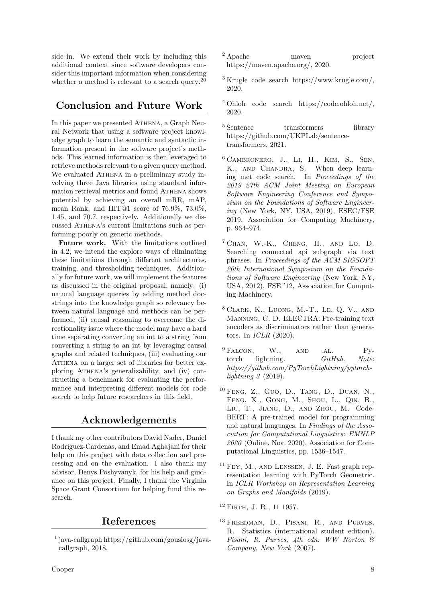side in. We extend their work by including this additional context since software developers consider this important information when considering whether a method is relevant to a search query.<sup>20</sup>

# Conclusion and Future Work

In this paper we presented ATHENA, a Graph Neural Network that using a software project knowledge graph to learn the semantic and syntactic information present in the software project's methods. This learned information is then leveraged to retrieve methods relevant to a given query method. We evaluated ATHENA in a preliminary study involving three Java libraries using standard information retrieval metrics and found Athena shows potential by achieving an overall mRR, mAP, mean Rank, and HIT@1 score of 76.9%, 73.0%, 1.45, and 70.7, respectively. Additionally we discussed Athena's current limitations such as performing poorly on generic methods.

Future work. With the limitations outlined in 4.2, we intend the explore ways of eliminating these limitations through different architectures, training, and thresholding techniques. Additionally for future work, we will implement the features as discussed in the original proposal, namely: (i) natural language queries by adding method docstrings into the knowledge graph so relevancy between natural language and methods can be performed, (ii) causal reasoning to overcome the directionality issue where the model may have a hard time separating converting an int to a string from converting a string to an int by leveraging causal graphs and related techniques, (iii) evaluating our ATHENA on a larger set of libraries for better exploring Athena's generalizability, and (iv) constructing a benchmark for evaluating the performance and interpreting different models for code search to help future researchers in this field.

# Acknowledgements

I thank my other contributors David Nader, Daniel Rodriguez-Cardenas, and Emad Aghajani for their help on this project with data collection and processing and on the evaluation. I also thank my advisor, Denys Poshyvanyk, for his help and guidance on this project. Finally, I thank the Virginia Space Grant Consortium for helping fund this research.

# References

- 1 java-callgraph https://github.com/gousiosg/javacallgraph, 2018.
- Cooper 8
- <sup>2</sup> Apache maven project https://maven.apache.org/, 2020.
- <sup>3</sup> Krugle code search https://www.krugle.com/, 2020.
- <sup>4</sup> Ohloh code search https://code.ohloh.net/, 2020.
- <sup>5</sup> Sentence transformers library https://github.com/UKPLab/sentencetransformers, 2021.
- $6$  CAMBRONERO, J., LI, H., KIM, S., SEN, K., AND CHANDRA, S. When deep learning met code search. In Proceedings of the 2019 27th ACM Joint Meeting on European Software Engineering Conference and Symposium on the Foundations of Software Engineering (New York, NY, USA, 2019), ESEC/FSE 2019, Association for Computing Machinery, p. 964–974.
- $^7$  CHAN, W.-K., CHENG, H., AND LO, D. Searching connected api subgraph via text phrases. In Proceedings of the ACM SIGSOFT 20th International Symposium on the Foundations of Software Engineering (New York, NY, USA, 2012), FSE '12, Association for Computing Machinery.
- 8 Clark, K., Luong, M.-T., Le, Q. V., and Manning, C. D. ELECTRA: Pre-training text encoders as discriminators rather than generators. In ICLR (2020).
- $^{9}$  FALCON, W., AND .AL. Pytorch lightning.  $GitHub. Note:$ https://github.com/PyTorchLightning/pytorchlightning 3 (2019).
- 10 Feng, Z., Guo, D., Tang, D., Duan, N., Feng, X., Gong, M., Shou, L., Qin, B., Liu, T., Jiang, D., and Zhou, M. Code-BERT: A pre-trained model for programming and natural languages. In Findings of the Association for Computational Linguistics: EMNLP 2020 (Online, Nov. 2020), Association for Computational Linguistics, pp. 1536–1547.
- <sup>11</sup> Fey, M., and Lenssen, J. E. Fast graph representation learning with PyTorch Geometric. In ICLR Workshop on Representation Learning on Graphs and Manifolds (2019).
- <sup>12</sup> Firth, J. R., 11 1957.
- <sup>13</sup> Freedman, D., Pisani, R., and Purves, R. Statistics (international student edition). Pisani, R. Purves, 4th edn. WW Norton & Company, New York (2007).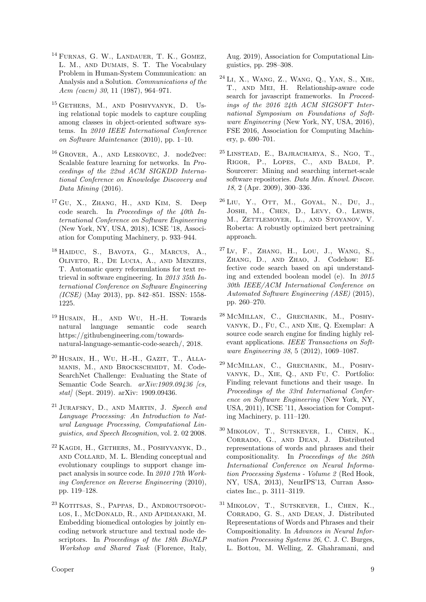- <sup>14</sup> FURNAS, G. W., LANDAUER, T. K., GOMEZ, L. M., and Dumais, S. T. The Vocabulary Problem in Human-System Communication: an Analysis and a Solution. Communications of the Acm (cacm) 30, 11 (1987), 964–971.
- <sup>15</sup> Gethers, M., and Poshyvanyk, D. Using relational topic models to capture coupling among classes in object-oriented software systems. In 2010 IEEE International Conference on Software Maintenance (2010), pp. 1–10.
- <sup>16</sup> GROVER, A., AND LESKOVEC, J. node2vec: Scalable feature learning for networks. In Proceedings of the 22nd ACM SIGKDD International Conference on Knowledge Discovery and Data Mining (2016).
- $17 \text{ GU}$ , X., ZHANG, H., AND KIM, S. Deep code search. In Proceedings of the 40th International Conference on Software Engineering (New York, NY, USA, 2018), ICSE '18, Association for Computing Machinery, p. 933–944.
- <sup>18</sup> HAIDUC, S., BAVOTA, G., MARCUS, A., Oliveto, R., De Lucia, A., and Menzies, T. Automatic query reformulations for text retrieval in software engineering. In 2013 35th International Conference on Software Engineering (ICSE) (May 2013), pp. 842–851. ISSN: 1558- 1225.
- <sup>19</sup> HUSAIN, H., AND WU, H.-H. Towards natural language semantic code search https://githubengineering.com/towardsnatural-language-semantic-code-search/, 2018.
- 20 Husain, H., Wu, H.-H., Gazit, T., Allamanis, M., and Brockschmidt, M. Code-SearchNet Challenge: Evaluating the State of Semantic Code Search.  $arXiv:1909.09436$  [cs,  $stat/$  (Sept. 2019). arXiv: 1909.09436.
- <sup>21</sup> JURAFSKY, D., AND MARTIN, J. Speech and Language Processing: An Introduction to Natural Language Processing, Computational Linguistics, and Speech Recognition, vol. 2. 02 2008.
- <sup>22</sup> Kagdi, H., Gethers, M., Poshyvanyk, D., and Collard, M. L. Blending conceptual and evolutionary couplings to support change impact analysis in source code. In 2010 17th Working Conference on Reverse Engineering (2010), pp. 119–128.
- <sup>23</sup> KOTITSAS, S., PAPPAS, D., ANDROUTSOPOUlos, I., McDonald, R., and Apidianaki, M. Embedding biomedical ontologies by jointly encoding network structure and textual node descriptors. In Proceedings of the 18th BioNLP Workshop and Shared Task (Florence, Italy,

Aug. 2019), Association for Computational Linguistics, pp. 298–308.

- 24 Li, X., Wang, Z., Wang, Q., Yan, S., Xie, T., and Mei, H. Relationship-aware code search for javascript frameworks. In Proceedings of the 2016 24th ACM SIGSOFT International Symposium on Foundations of Software Engineering (New York, NY, USA, 2016), FSE 2016, Association for Computing Machinery, p. 690–701.
- 25 Linstead, E., Bajracharya, S., Ngo, T., Rigor, P., Lopes, C., and Baldi, P. Sourcerer: Mining and searching internet-scale software repositories. Data Min. Knowl. Discov. 18, 2 (Apr. 2009), 300–336.
- 26 Liu, Y., Ott, M., Goyal, N., Du, J., Joshi, M., Chen, D., Levy, O., Lewis, M., ZETTLEMOYER, L., AND STOYANOV, V. Roberta: A robustly optimized bert pretraining approach.
- $^{27}$  Lv, F., ZHANG, H., LOU, J., WANG, S., Zhang, D., and Zhao, J. Codehow: Effective code search based on api understanding and extended boolean model (e). In 2015 30th IEEE/ACM International Conference on Automated Software Engineering (ASE) (2015), pp. 260–270.
- 28 McMillan, C., Grechanik, M., Poshyvanyk, D., Fu, C., and Xie, Q. Exemplar: A source code search engine for finding highly relevant applications. IEEE Transactions on Software Engineering 38, 5 (2012), 1069–1087.
- 29 McMillan, C., Grechanik, M., Poshyvanyk, D., Xie, Q., and Fu, C. Portfolio: Finding relevant functions and their usage. In Proceedings of the 33rd International Conference on Software Engineering (New York, NY, USA, 2011), ICSE '11, Association for Computing Machinery, p. 111–120.
- <sup>30</sup> Mikolov, T., Sutskever, I., Chen, K., Corrado, G., and Dean, J. Distributed representations of words and phrases and their compositionality. In Proceedings of the 26th International Conference on Neural Information Processing Systems - Volume 2 (Red Hook, NY, USA, 2013), NeurIPS'13, Curran Associates Inc., p. 3111–3119.
- <sup>31</sup> Mikolov, T., Sutskever, I., Chen, K., Corrado, G. S., and Dean, J. Distributed Representations of Words and Phrases and their Compositionality. In Advances in Neural Information Processing Systems 26, C. J. C. Burges, L. Bottou, M. Welling, Z. Ghahramani, and